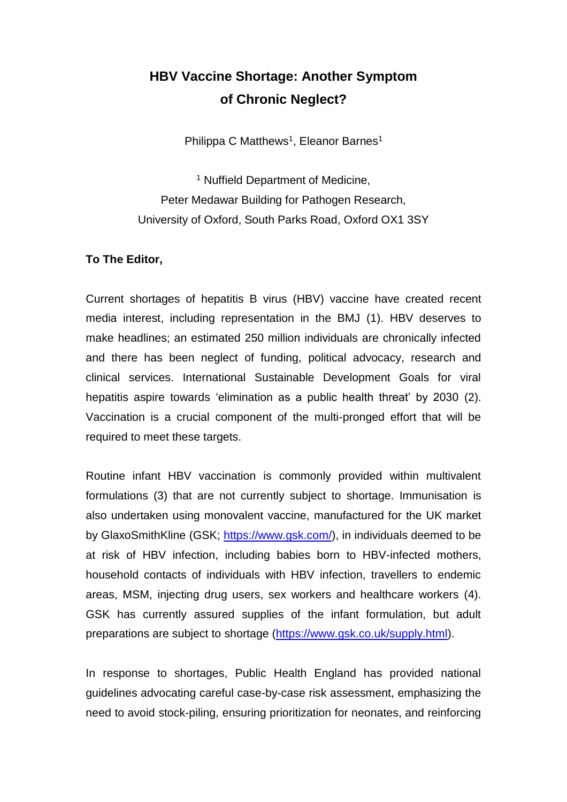## **HBV Vaccine Shortage: Another Symptom of Chronic Neglect?**

Philippa C Matthews<sup>1</sup>, Eleanor Barnes<sup>1</sup>

<sup>1</sup> Nuffield Department of Medicine, Peter Medawar Building for Pathogen Research, University of Oxford, South Parks Road, Oxford OX1 3SY

## **To The Editor,**

Current shortages of hepatitis B virus (HBV) vaccine have created recent media interest, including representation in the BMJ (1). HBV deserves to make headlines; an estimated 250 million individuals are chronically infected and there has been neglect of funding, political advocacy, research and clinical services. International Sustainable Development Goals for viral hepatitis aspire towards 'elimination as a public health threat' by 2030 (2). Vaccination is a crucial component of the multi-pronged effort that will be required to meet these targets.

Routine infant HBV vaccination is commonly provided within multivalent formulations (3) that are not currently subject to shortage. Immunisation is also undertaken using monovalent vaccine, manufactured for the UK market by GlaxoSmithKline (GSK; [https://www.gsk.com/\)](https://www.gsk.com/), in individuals deemed to be at risk of HBV infection, including babies born to HBV-infected mothers, household contacts of individuals with HBV infection, travellers to endemic areas, MSM, injecting drug users, sex workers and healthcare workers (4). GSK has currently assured supplies of the infant formulation, but adult preparations are subject to shortage [\(https://www.gsk.co.uk/supply.html\)](https://www.gsk.co.uk/supply.html).

In response to shortages, Public Health England has provided national guidelines advocating careful case-by-case risk assessment, emphasizing the need to avoid stock-piling, ensuring prioritization for neonates, and reinforcing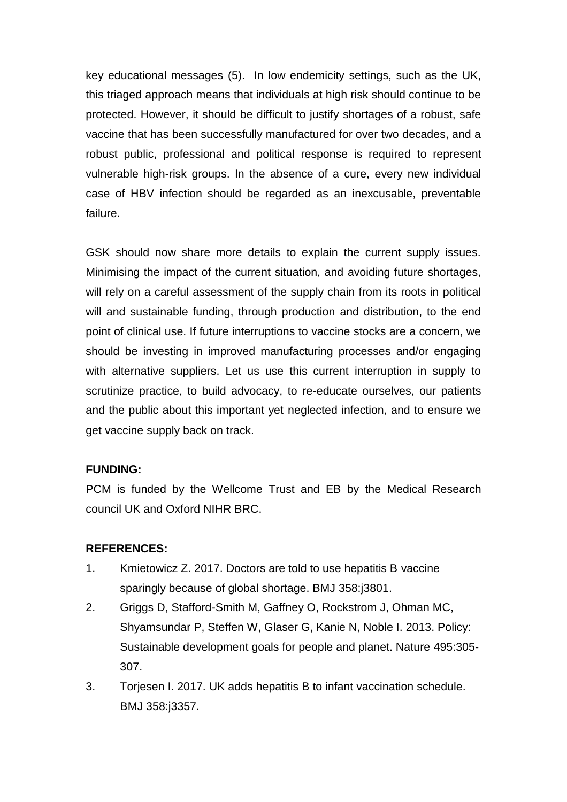key educational messages (5). In low endemicity settings, such as the UK, this triaged approach means that individuals at high risk should continue to be protected. However, it should be difficult to justify shortages of a robust, safe vaccine that has been successfully manufactured for over two decades, and a robust public, professional and political response is required to represent vulnerable high-risk groups. In the absence of a cure, every new individual case of HBV infection should be regarded as an inexcusable, preventable failure.

GSK should now share more details to explain the current supply issues. Minimising the impact of the current situation, and avoiding future shortages, will rely on a careful assessment of the supply chain from its roots in political will and sustainable funding, through production and distribution, to the end point of clinical use. If future interruptions to vaccine stocks are a concern, we should be investing in improved manufacturing processes and/or engaging with alternative suppliers. Let us use this current interruption in supply to scrutinize practice, to build advocacy, to re-educate ourselves, our patients and the public about this important yet neglected infection, and to ensure we get vaccine supply back on track.

## **FUNDING:**

PCM is funded by the Wellcome Trust and EB by the Medical Research council UK and Oxford NIHR BRC.

## **REFERENCES:**

- 1. Kmietowicz Z. 2017. Doctors are told to use hepatitis B vaccine sparingly because of global shortage. BMJ 358:j3801.
- 2. Griggs D, Stafford-Smith M, Gaffney O, Rockstrom J, Ohman MC, Shyamsundar P, Steffen W, Glaser G, Kanie N, Noble I. 2013. Policy: Sustainable development goals for people and planet. Nature 495:305- 307.
- 3. Torjesen I. 2017. UK adds hepatitis B to infant vaccination schedule. BMJ 358:j3357.